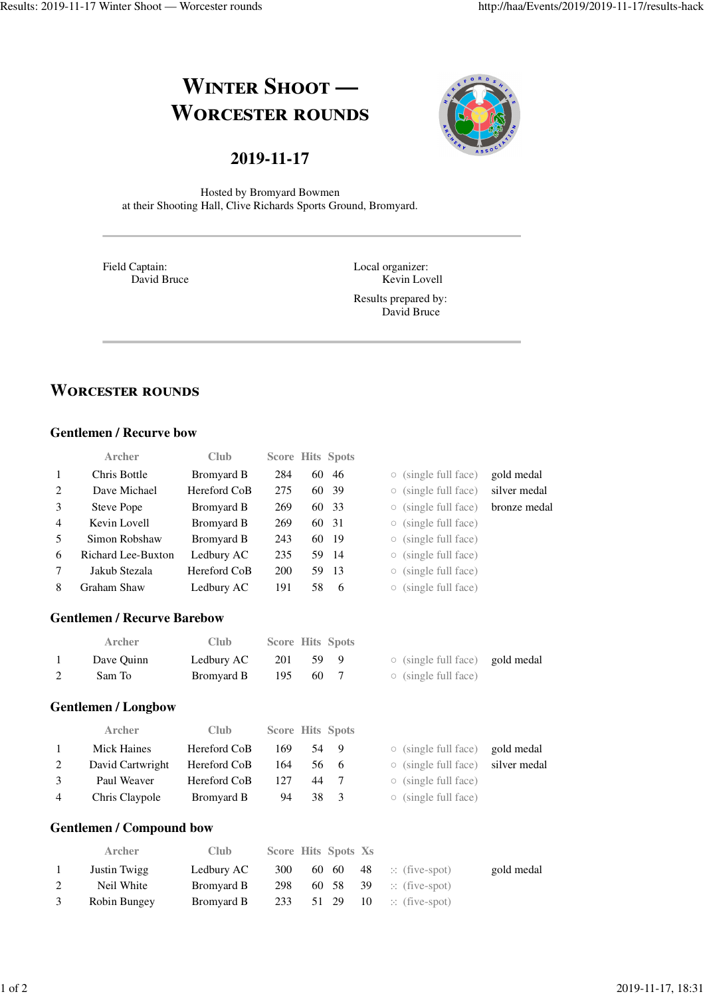# **WINTER SHOOT — WORCESTER ROUNDS**



**2019-11-17**

Hosted by Bromyard Bowmen at their Shooting Hall, Clive Richards Sports Ground, Bromyard.

Field Captain: David Bruce Local organizer: Kevin Lovell

Results prepared by: David Bruce

# **WORCESTER ROUNDS**

## **Gentlemen / Recurve bow**

|   | Archer                             | Club         | <b>Score Hits Spots</b> |    |       |                               |              |
|---|------------------------------------|--------------|-------------------------|----|-------|-------------------------------|--------------|
| 1 | Chris Bottle                       | Bromyard B   | 284                     |    | 60 46 | (single full face)            | gold medal   |
| 2 | Dave Michael                       | Hereford CoB | 275                     | 60 | - 39  | (single full face)<br>$\circ$ | silver medal |
| 3 | Steve Pope                         | Bromyard B   | 269                     |    | 60 33 | (single full face)            | bronze medal |
| 4 | Kevin Lovell                       | Bromyard B   | 269                     |    | 60 31 | (single full face)<br>$\circ$ |              |
| 5 | Simon Robshaw                      | Bromyard B   | 243                     |    | 60 19 | (single full face)            |              |
| 6 | Richard Lee-Buxton                 | Ledbury AC   | 235                     |    | 59 14 | (single full face)            |              |
|   | Jakub Stezala                      | Hereford CoB | <b>200</b>              |    | 59 13 | (single full face)            |              |
| 8 | Graham Shaw                        | Ledbury AC   | 191                     | 58 | - 6   | (single full face)            |              |
|   | <b>Gentlemen / Recurve Barebow</b> |              |                         |    |       |                               |              |

| Archer     | Club.      | <b>Score Hits Spots</b> |     |                                       |  |
|------------|------------|-------------------------|-----|---------------------------------------|--|
| Dave Quinn | Ledbury AC | 201                     | 599 | $\circ$ (single full face) gold medal |  |
| Sam To     | Bromyard B | -195                    | 60. | $\circ$ (single full face)            |  |

### **Gentlemen / Longbow**

|                | <b>Archer</b>    | <b>Club</b>  | <b>Score Hits Spots</b> |    |                |                                         |  |
|----------------|------------------|--------------|-------------------------|----|----------------|-----------------------------------------|--|
|                | Mick Haines      | Hereford CoB | 169                     | 54 | $\mathbf{Q}$   | $\circ$ (single full face) gold medal   |  |
| 2              | David Cartwright | Hereford CoB | 164                     |    | 56 6           | $\circ$ (single full face) silver medal |  |
| $\mathcal{E}$  | Paul Weaver      | Hereford CoB | 127                     | 44 |                | $\circ$ (single full face)              |  |
| $\overline{4}$ | Chris Claypole   | Bromyard B   | 94                      | 38 | $\overline{3}$ | $\circ$ (single full face)              |  |

### **Gentlemen / Compound bow**

| <b>Archer</b> | <b>Club</b> | Score Hits Spots Xs |          |                                   |            |
|---------------|-------------|---------------------|----------|-----------------------------------|------------|
| Justin Twigg  | Ledbury AC  | 300                 |          | 60 60 48 $\therefore$ (five-spot) | gold medal |
| Neil White    | Bromyard B  | 298                 |          | 60 58 39 $\therefore$ (five-spot) |            |
| Robin Bungey  | Bromyard B  | 233                 | 51 29 10 | $\therefore$ (five-spot)          |            |